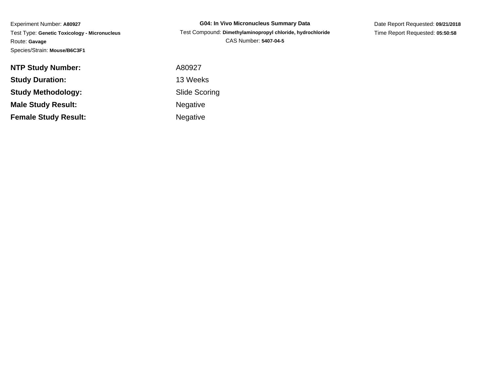Experiment Number: **A80927** Test Type: **Genetic Toxicology - Micronucleus**Route: **Gavage**Species/Strain: **Mouse/B6C3F1**

**G04: In Vivo Micronucleus Summary Data** Test Compound: **Dimethylaminopropyl chloride, hydrochloride**CAS Number: **5407-04-5**

Date Report Requested: **09/21/2018**Time Report Requested: **05:50:58**

| <b>NTP Study Number:</b>    | A80927               |
|-----------------------------|----------------------|
| <b>Study Duration:</b>      | 13 Weeks             |
| Study Methodology:          | <b>Slide Scoring</b> |
| <b>Male Study Result:</b>   | <b>Negative</b>      |
| <b>Female Study Result:</b> | <b>Negative</b>      |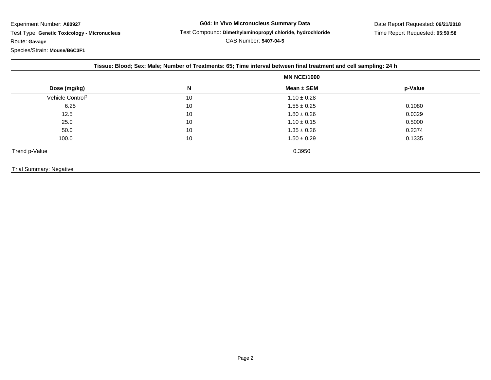Experiment Number: **A80927**

 Test Type: **Genetic Toxicology - Micronucleus**Route: **Gavage**

Species/Strain: **Mouse/B6C3F1**

|  |  |  |  | Tissue: Blood; Sex: Male; Number of Treatments: 65; Time interval between final treatment and cell sampling: 24 h |
|--|--|--|--|-------------------------------------------------------------------------------------------------------------------|
|  |  |  |  |                                                                                                                   |
|  |  |  |  |                                                                                                                   |

| Dose (mg/kg)                 | N  | Mean ± SEM      | p-Value |
|------------------------------|----|-----------------|---------|
| Vehicle Control <sup>1</sup> | 10 | $1.10 \pm 0.28$ |         |
| 6.25                         | 10 | $1.55 \pm 0.25$ | 0.1080  |
| 12.5                         | 10 | $1.80 \pm 0.26$ | 0.0329  |
| 25.0                         | 10 | $1.10 \pm 0.15$ | 0.5000  |
| 50.0                         | 10 | $1.35 \pm 0.26$ | 0.2374  |
| 100.0                        | 10 | $1.50 \pm 0.29$ | 0.1335  |
| Trend p-Value                |    | 0.3950          |         |

## Trial Summary: Negative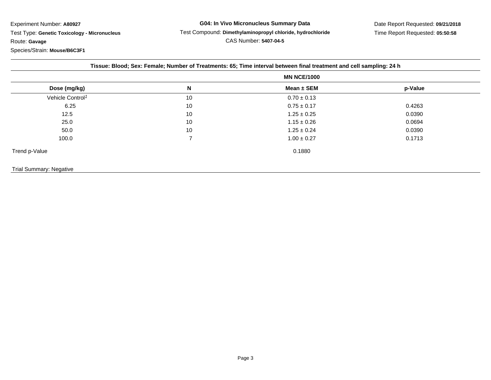Experiment Number: **A80927**

 Test Type: **Genetic Toxicology - Micronucleus**Route: **Gavage**

Species/Strain: **Mouse/B6C3F1**

|  | Tissue: Blood; Sex: Female; Number of Treatments: 65; Time interval between final treatment and cell sampling: 24 h |
|--|---------------------------------------------------------------------------------------------------------------------|
|  |                                                                                                                     |
|  |                                                                                                                     |
|  |                                                                                                                     |

| Dose (mg/kg)                 | N  | Mean $\pm$ SEM  | p-Value |
|------------------------------|----|-----------------|---------|
| Vehicle Control <sup>1</sup> | 10 | $0.70 \pm 0.13$ |         |
| 6.25                         | 10 | $0.75 \pm 0.17$ | 0.4263  |
| 12.5                         | 10 | $1.25 \pm 0.25$ | 0.0390  |
| 25.0                         | 10 | $1.15 \pm 0.26$ | 0.0694  |
| 50.0                         | 10 | $1.25 \pm 0.24$ | 0.0390  |
| 100.0                        |    | $1.00 \pm 0.27$ | 0.1713  |
| Trend p-Value                |    | 0.1880          |         |
|                              |    |                 |         |

## Trial Summary: Negative